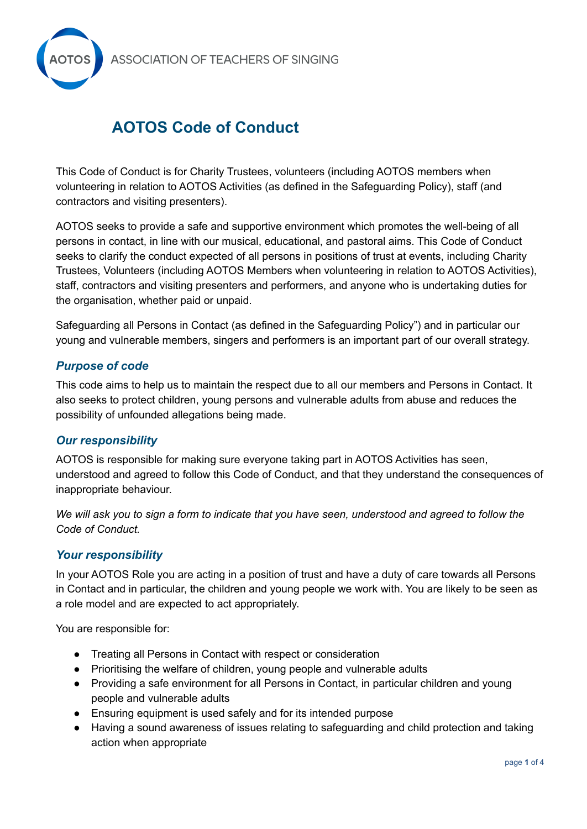

# **AOTOS Code of Conduct**

This Code of Conduct is for Charity Trustees, volunteers (including AOTOS members when volunteering in relation to AOTOS Activities (as defined in the Safeguarding Policy), staff (and contractors and visiting presenters).

AOTOS seeks to provide a safe and supportive environment which promotes the well-being of all persons in contact, in line with our musical, educational, and pastoral aims. This Code of Conduct seeks to clarify the conduct expected of all persons in positions of trust at events, including Charity Trustees, Volunteers (including AOTOS Members when volunteering in relation to AOTOS Activities), staff, contractors and visiting presenters and performers, and anyone who is undertaking duties for the organisation, whether paid or unpaid.

Safeguarding all Persons in Contact (as defined in the Safeguarding Policy") and in particular our young and vulnerable members, singers and performers is an important part of our overall strategy.

## *Purpose of code*

This code aims to help us to maintain the respect due to all our members and Persons in Contact. It also seeks to protect children, young persons and vulnerable adults from abuse and reduces the possibility of unfounded allegations being made.

#### *Our responsibility*

AOTOS is responsible for making sure everyone taking part in AOTOS Activities has seen, understood and agreed to follow this Code of Conduct, and that they understand the consequences of inappropriate behaviour.

We will ask you to sign a form to indicate that you have seen, understood and agreed to follow the *Code of Conduct.*

#### *Your responsibility*

In your AOTOS Role you are acting in a position of trust and have a duty of care towards all Persons in Contact and in particular, the children and young people we work with. You are likely to be seen as a role model and are expected to act appropriately.

You are responsible for:

- Treating all Persons in Contact with respect or consideration
- Prioritising the welfare of children, young people and vulnerable adults
- Providing a safe environment for all Persons in Contact, in particular children and young people and vulnerable adults
- Ensuring equipment is used safely and for its intended purpose
- Having a sound awareness of issues relating to safeguarding and child protection and taking action when appropriate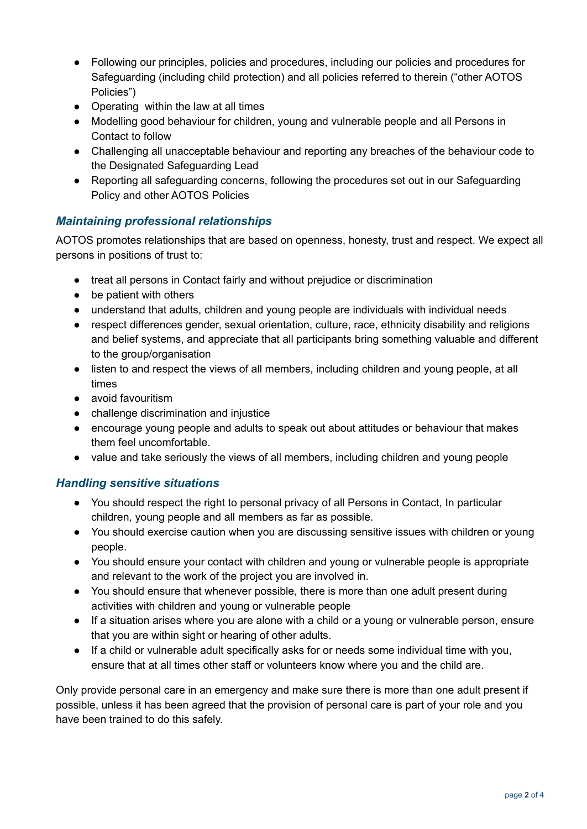- Following our principles, policies and procedures, including our policies and procedures for Safeguarding (including child protection) and all policies referred to therein ("other AOTOS Policies")
- Operating within the law at all times
- Modelling good behaviour for children, young and vulnerable people and all Persons in Contact to follow
- Challenging all unacceptable behaviour and reporting any breaches of the behaviour code to the Designated Safeguarding Lead
- Reporting all safeguarding concerns, following the procedures set out in our Safeguarding Policy and other AOTOS Policies

# *Maintaining professional relationships*

AOTOS promotes relationships that are based on openness, honesty, trust and respect. We expect all persons in positions of trust to:

- treat all persons in Contact fairly and without prejudice or discrimination
- be patient with others
- understand that adults, children and young people are individuals with individual needs
- respect differences gender, sexual orientation, culture, race, ethnicity disability and religions and belief systems, and appreciate that all participants bring something valuable and different to the group/organisation
- listen to and respect the views of all members, including children and young people, at all times
- avoid favouritism
- challenge discrimination and injustice
- encourage young people and adults to speak out about attitudes or behaviour that makes them feel uncomfortable.
- value and take seriously the views of all members, including children and young people

# *Handling sensitive situations*

- You should respect the right to personal privacy of all Persons in Contact, In particular children, young people and all members as far as possible.
- You should exercise caution when you are discussing sensitive issues with children or young people.
- You should ensure your contact with children and young or vulnerable people is appropriate and relevant to the work of the project you are involved in.
- You should ensure that whenever possible, there is more than one adult present during activities with children and young or vulnerable people
- If a situation arises where you are alone with a child or a young or vulnerable person, ensure that you are within sight or hearing of other adults.
- If a child or vulnerable adult specifically asks for or needs some individual time with you, ensure that at all times other staff or volunteers know where you and the child are.

Only provide personal care in an emergency and make sure there is more than one adult present if possible, unless it has been agreed that the provision of personal care is part of your role and you have been trained to do this safely.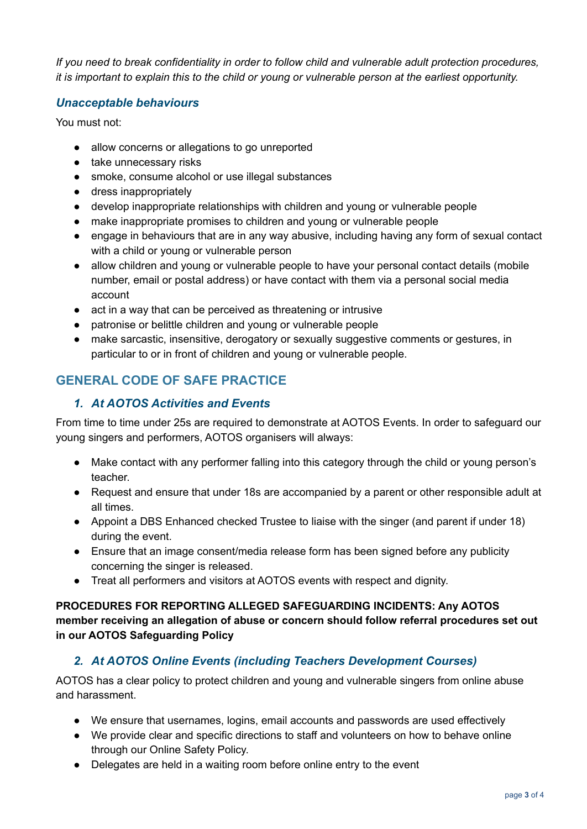*If you need to break confidentiality in order to follow child and vulnerable adult protection procedures,* it is important to explain this to the child or young or vulnerable person at the earliest opportunity.

#### *Unacceptable behaviours*

You must not:

- allow concerns or allegations to go unreported
- take unnecessary risks
- smoke, consume alcohol or use illegal substances
- dress inappropriately
- develop inappropriate relationships with children and young or vulnerable people
- make inappropriate promises to children and young or vulnerable people
- engage in behaviours that are in any way abusive, including having any form of sexual contact with a child or young or vulnerable person
- allow children and young or vulnerable people to have your personal contact details (mobile number, email or postal address) or have contact with them via a personal social media account
- act in a way that can be perceived as threatening or intrusive
- patronise or belittle children and young or vulnerable people
- make sarcastic, insensitive, derogatory or sexually suggestive comments or gestures, in particular to or in front of children and young or vulnerable people.

# **GENERAL CODE OF SAFE PRACTICE**

## *1. At AOTOS Activities and Events*

From time to time under 25s are required to demonstrate at AOTOS Events. In order to safeguard our young singers and performers, AOTOS organisers will always:

- Make contact with any performer falling into this category through the child or young person's teacher.
- Request and ensure that under 18s are accompanied by a parent or other responsible adult at all times.
- Appoint a DBS Enhanced checked Trustee to liaise with the singer (and parent if under 18) during the event.
- Ensure that an image consent/media release form has been signed before any publicity concerning the singer is released.
- Treat all performers and visitors at AOTOS events with respect and dignity.

**PROCEDURES FOR REPORTING ALLEGED SAFEGUARDING INCIDENTS: Any AOTOS member receiving an allegation of abuse or concern should follow referral procedures set out in our AOTOS Safeguarding Policy**

# *2. At AOTOS Online Events (including Teachers Development Courses)*

AOTOS has a clear policy to protect children and young and vulnerable singers from online abuse and harassment.

- We ensure that usernames, logins, email accounts and passwords are used effectively
- We provide clear and specific directions to staff and volunteers on how to behave online through our Online Safety Policy.
- Delegates are held in a waiting room before online entry to the event